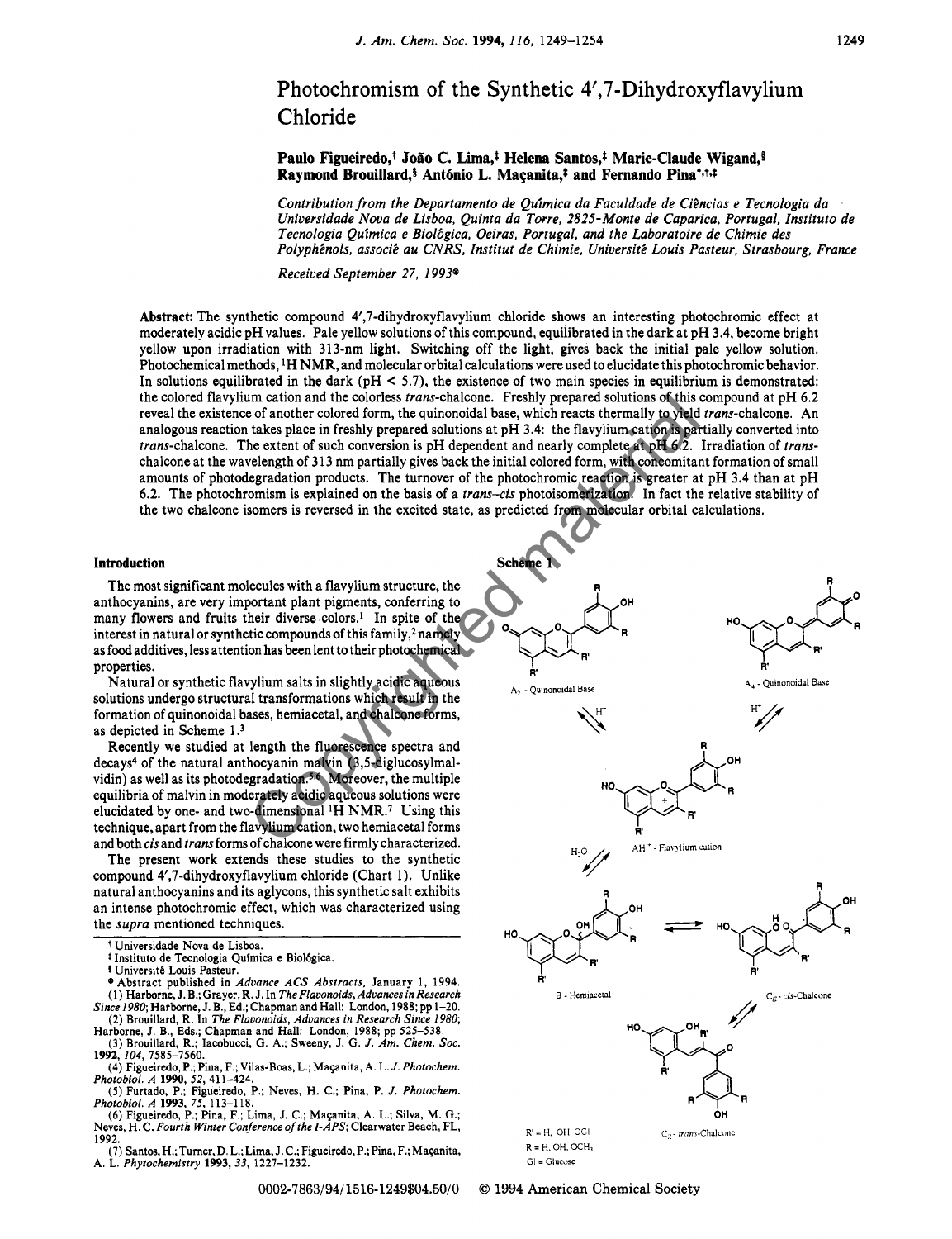# Photochromism of the Synthetic 4',7-Dihydroxyflavylium Chloride

Paulo Figueiredo,<sup>†</sup> João C. Lima,<sup>†</sup> Helena Santos,<sup>†</sup> Marie-Claude Wigand,<sup>§</sup> Raymond Brouillard,<sup>§</sup> António L. Macanita,<sup>†</sup> and Fernando Pina<sup>+,†,‡</sup>

Contribution from the Departamento de Quimica da Faculdade de Citncias e Tecnologia da Universidade Nova de Lisboa, Quinta da Torre, 2825-Monte de Caparica, Portugal, Instituto de Tecnologia Quimica e Biolbgica, Oeiras, Portugal, and the Laboratoire de Chimie des Polyphénols, associé au CNRS, Institut de Chimie, Université Louis Pasteur, Strasbourg, France

Received September 27, *1993'* 

**Abstract:** The synthetic compound 4',7-dihydroxyflavylium chloride shows an interesting photochromic effect at moderately acidic pH values. Pale yellow solutions of this compound, equilibrated in the dark at pH 3.4, become bright yellow upon irradiation with 313-nm light. Switching off the light, gives back the initial pale yellow solution. Photochemical methods, <sup>1</sup>H NMR, and molecular orbital calculations were used to elucidate this photochromic behavior. In solutions equilibrated in the dark ( $pH < 5.7$ ), the existence of two main species in equilibrium is demonstrated: the colored flavylium cation and the colorless trans-chalcone. Freshly prepared solutions of this compound at pH 6.2 reveal the existence of another colored form, the quinonoidal base, which reacts thermally to yield trans-chalcone. **An**  analogous reaction takes place in freshly prepared solutions at pH 3.4: the flavylium cation is partially converted into trans-chalcone. The extent of such conversion is pH dependent and nearly complete at pH 6.2. Irradiation of transchalcone at the wavelength of 3 13 nm partially gives back the initial colored form, with concomitant formation of small amounts of photodegradation products. The turnover of the photochromic reaction is greater at pH 3.4 than at pH 6.2. The photochromism is explained **on** the basis of a trans-cis photoisomerization. **In** fact the relative stability of the two chalcone isomers is reversed in the excited state, as predicted from molecular orbital calculations.

## **Introduction**

The most significant molecules with a flavylium structure, the anthocyanins, are very important plant pigments, conferring to many flowers and fruits their diverse colors.' **In** spite of the interest in natural or synthetic compounds of this family? namely as food additives, less attention has been lent to their photochemical properties.

Natural or synthetic flavylium salts in slightly acidic aqueous solutions undergo structural transformations which result in the formation **of** quinonoidal bases, hemiacetal, and chalcone forms, as depicted in Scheme 1.3

Recently we studied at length the fluorescence spectra and decays4 of the natural anthocyanin malvin (3,5-diglucosylmalvidin) as well as its photodegradation.<sup>5,6</sup> Moreover, the multiple equilibria of malvin in moderately acidic aqueous solutions were elucidated by one- and two-dimensional 'H NMR.' Using this technique, apart from the flavylium cation, two hemiacetal forms and both cis and trans forms of chalcone were firmly characterized.

The present work extends these studies to the synthetic compound 4',7-dihydroxyflavylium chloride (Chart 1). Unlike natural anthocyanins and its aglycons, this synthetic salt exhibits an intense photochromic effect, which was characterized using the supra mentioned techniques.

Harborne, J. B., Eds.; Chapman and Hall: London, 1988; pp 525-538.

(3) Brouillard, R.; Iacobucci, G. **A.;** Sweeny, J. G. *J. Am. Chem. SOC.*  **1992,** 104, 7585-7560. (4) Figueiredo, P.; Pina, F.; Vilas-Boas, L.; Maçanita, A. L. *J. Photochem.* 

*Photobiol. A* **1990,** *52,* 41 1-424.



**R** = H, **OH.** CCH, **GI** = Glucuse

**0002-7863/94/1516-1249\$04.50/0** *0* **1994** American Chemical Society

t Universidade Nova de Lisboa.

<sup>&</sup>lt;sup>1</sup> Instituto de Tecnologia Química e Biológica.<br><sup>§</sup> Université Louis Pasteur.

 $\bullet$  Abstract published in *Advance ACS Abstracts*, January 1, 1994. (1) Hart", J. B.; Grayer, R. J. **In** *The Flavonoids, Advances in Research Since 1980;* Harborne, J. B., Ed.; Chapman and Hall: London, 1988; pp 1-20. (2) Brouillard, R. **In** *The Flavonoids, Advances in Research Since 1980;* 

<sup>(5)</sup> Furtado, P.; Figueiredo, P.; Neves, H. C.; Pina, P. *J. Photochem. Photobiol. A* **1993**, 75, 113–118.<br>
(6) Figueiredo, P.; Pina, F.; Lima, J. C.; Maçanita, A. L.; Silva, M. G.;

Neves, H. C. *Fourth Winter Conferenceofthe I-APS;* Clearwater Beach, FL, 1992.

<sup>(7)</sup> **Santos,H.;Tumer,D.L.;Lima,** J.C.; **Figueiredo,P.;Pina,F.;Ma\$anita,**  A. L. *Phytochemistry* **1993,** 33, 1227-1232.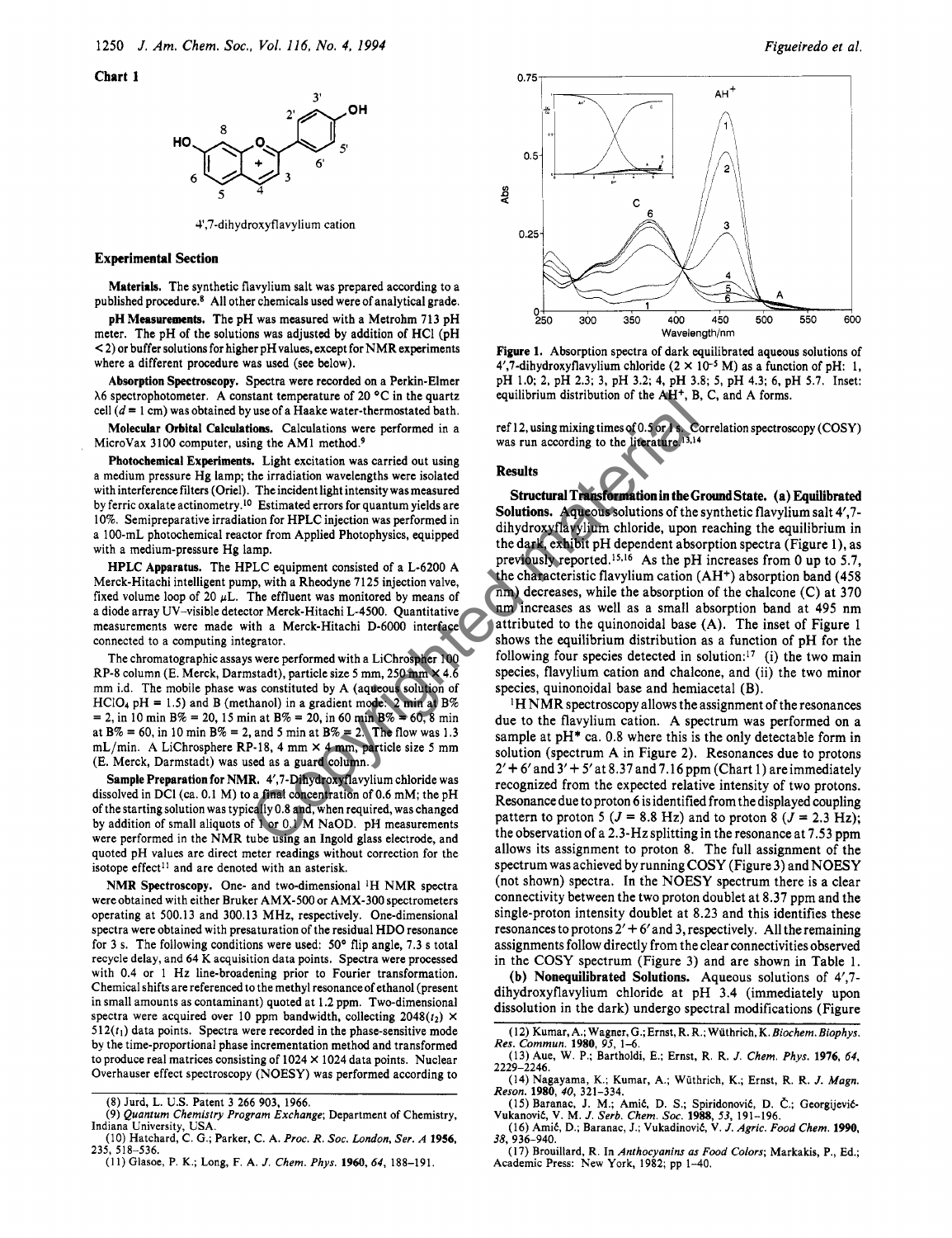**Chart I** 



4,7-dihydroxyflavylium cation

### **Experimental Section**

**Materials.** The synthetic flavylium salt was prepared according to a published procedure.\* All other chemicals used were of analytical grade.

**pH Measurements.** The pH was measured with a Metrohm 713 pH meter. The pH of the solutions was adjusted by addition of HCI (pH < 2) or buffer solutions for higher pH values, except for NMR experiments where a different procedure was used (see below).

**Absorption Spectroscopy.** Spectra were recorded **on** a Perkin-Elmer  $\lambda$ 6 spectrophotometer. A constant temperature of 20 °C in the quartz cell  $(d = 1$  cm) was obtained by use of a Haake water-thermostated bath.

**Molecular Orbital Calculations.** Calculations were performed in a MicroVax 3100 computer, using the AM1 method.<sup>9</sup>

**Photocbemical Experiments.** Light excitation was carried out using a medium pressure Hg lamp; the irradiation wavelengths were isolated with interference filters (Oriel). The incident light intensity was measured by ferric oxalate actinometry.10 Estimated errors for quantum yields are 10%. Semipreparative irradiation for HPLC injection was performed in a 1 00-mL photochemical reactor from Applied Photophysics, equipped with a medium-pressure Hg lamp.

**HPLC Apparatus.** The HPLC equipment consisted of a L-6200 A Merck-Hitachi intelligent pump, with a Rheodyne 7125 injection valve, fixed volume loop of 20  $\mu$ L. The effluent was monitored by means of a diode array UV-visible detector Merck-Hitachi L-4500. Quantitative measurements were made with a Merck-Hitachi D-6000 interface connected to a computing integrator.

The chromatographic assays were performed with a LiChrospher 100 RP-8 column (E. Merck, Darmstadt), particle size *5* mm, 250 mm **X** 4.6 mm i.d. The mobile phase was constituted by A (aqueous solution of  $HClO_4$  pH = 1.5) and B (methanol) in a gradient mode. 2 min at B%  $= 2$ , in 10 min B%  $= 20$ , 15 min at B%  $= 20$ , in 60 min B%  $= 60$ , 8 min at B% = 60, in 10 min B% = 2, and *5* min at **B%** = 2. The flow was 1.3 mL/min. A LiChrosphere RP-18, 4 mm **X** 4 mm, particle size *5* mm (E. Merck, Darmstadt) was used as a guard column.

**Sample Preparation for NMR.** 4',7-Dihydroxyflavylium chloride was dissolved in DCl (ca. 0.1 M) to a final concentration of 0.6 mM; the pH of the starting solution was typically 0.8 and, when required, was changed by addition of small aliquots of 1 or 0.1 M NaOD. pH measurements were performed in the NMR tube using an Ingold glass electrode, and quoted pH values are direct meter readings without correction for the isotope effect<sup>11</sup> and are denoted with an asterisk.

NMR Spectroscopy. One- and two-dimensional <sup>1</sup>H NMR spectra were obtained with either Bruker AMX-500 or AMX-300 spectrometers operating at 500.13 and 300.13 MHz, respectively. One-dimensional spectra were obtained with presaturation of the residual HDO resonance for 3 **s.** The following conditions were used: *50°* flip angle, 7.3 **s** total recycle delay, and 64 *K* acquisition data points. Spectra were processed with 0.4 or 1 Hz line-broadening prior to Fourier transformation. Chemical shifts are referenced to the methyl resonance of ethanol (present in small amounts as contaminant) quoted at 1.2 ppm. Two-dimensional spectra were acquired over 10 ppm bandwidth, collecting  $2048(t_2)$   $\times$  $512(t<sub>1</sub>)$  data points. Spectra were recorded in the phase-sensitive mode by the time-proportional phase incrementation method and transformed to produce real matrices consisting of 1024 **X** 1024 data points. Nuclear Overhauser effect spectroscopy (NOESY) was performed according to



**Figure 1.** Absorption spectra of dark equilibrated aqueous solutions of 4',7-dihydroxyflavylium chloride  $(2 \times 10^{-5} \text{ M})$  as a function of pH: 1, pH 1.0; 2, pH 2.3; 3, pH 3.2; 4, pH 3.8; *5,* pH 4.3; 6, pH 5.7. Inset: equilibrium distribution of the  $AH^+$ , B, C, and A forms.

ref 12,using mixing timesof 0.5 or 1 **s.** Correlation spectroscopy (COSY) was run according to the literature.<sup>13,14</sup>

# **Results**

**Structural Transformation in the Ground State. (a) Equilibrated Solutions.** Aqueous solutions of the synthetic flavylium salt 4',7 dihydroxyflavylium chloride, upon reaching the equilibrium in the dark, exhibit pH dependent absorption spectra (Figure l), as previously reported.<sup>15,16</sup> As the pH increases from 0 up to 5.7, the characteristic flavylium cation (AH+) absorption band (458 nm) decreases, while the absorption of the chalcone (C) at 370 nm increases as well as a small absorption band at 495 nm attributed to the quinonoidal base (A). The inset of Figure 1 shows the equilibrium distribution as a function of pH for the following four species detected in solution:<sup>17</sup> (i) the two main species, flavylium cation and chalcone, and (ii) the two minor species, quinonoidal base and hemiacetal (B). stant temperature of 20 °C in the quark<br>
is sed as guard column and the same the same the same than the same that<br>
is used a Haake water-thermostated bath.<br>
In the Mathematic material material constrained material materia

'H NMR spectroscopy allows the assignment of the resonances due to the flavylium cation. A spectrum was performed **on** a sample at  $pH^*$  ca. 0.8 where this is the only detectable form in solution (spectrum A in Figure 2). Resonances due to protons  $2'$  + 6' and  $3'$  + 5' at 8.37 and 7.16 ppm (Chart 1) are immediately recognized from the expected relative intensity of two protons. Resonance due to proton **6** is identified from the displayed coupling pattern to proton 5  $(J = 8.8 \text{ Hz})$  and to proton 8  $(J = 2.3 \text{ Hz})$ ; the observation of a 2.3-Hz splitting in the resonance at 7.53 ppm allows its assignment to proton 8. The full assignment of the spectrum was achieved by running COSY (Figure 3) and NOESY (not shown) spectra. **In** the NOESY spectrum there is a clear connectivity between the two proton doublet at 8.37 ppm and the single-proton intensity doublet at 8.23 and this identifies these resonances to protons  $2' + 6'$  and 3, respectively. All the remaining assignments follow directly from the clear connectivities observed in the COSY spectrum (Figure 3) and are shown in Table 1.

**(b) Nonequilibrated Solutions.** Aqueous solutions of 4',7 dihydroxyflavylium chloride at pH 3.4 (immediately upon dissolution in the dark) undergo spectral modifications (Figure

<sup>(8)</sup> Jurd, L. **US.** Patent 3 266 903, 1966.

<sup>(9)</sup> *Quantum Chemistry Program Exchange;* Department of Chemistry, Indiana University, USA.

<sup>(10)</sup> Hatchard, C. G.; Parker, C. A. *Proc.* R. *SOC. London, Ser. A* **1956,**  235, 518-536.

<sup>(1 1)</sup> Glasoe, P. K.; **Long,** F. A. *J. Chem. Phys.* **1960,** *64,* 188-191.

<sup>(12)</sup> Kumar, A.; Wagner, G.; Ernst, R. R.; Wuthrich, *K.Biochem. Eiophys.*  Res. *Commun.* **1980,** *95,* 1-6.

<sup>(13)</sup> Aue, W. P.; Bartholdi, E.; Ernst, R. R. *J. Chem. Phys.* **1976,** *64,*  2229-2246.

<sup>(14)</sup> Nagayama, K.; Kumar, A.; Wiithrich, K.; Ernst, R. R. *J. Magn. Reson.* **1980,** *40,* 321-334.

<sup>(15)</sup> Baranac, J. M.; Amić, D. S.; Spiridonović, D. Č.; Georgijević-<br>Vukanović, V. M. J. Serb. Chem. Soc. 1988, 53, 191–196.<br>Vukanović, V. M. J. Serb. Chem. Soc. 1988, 53, 191–196.<br>(16) Amić, D.; Baranac, J.; Vukadinović, V 38, 936-940.

**<sup>(17)</sup>** Brouillard, R. In *Anthocyanins as Food Colors;* Markakis, P., Ed.; Academic Press: New York, 1982; pp 1-40,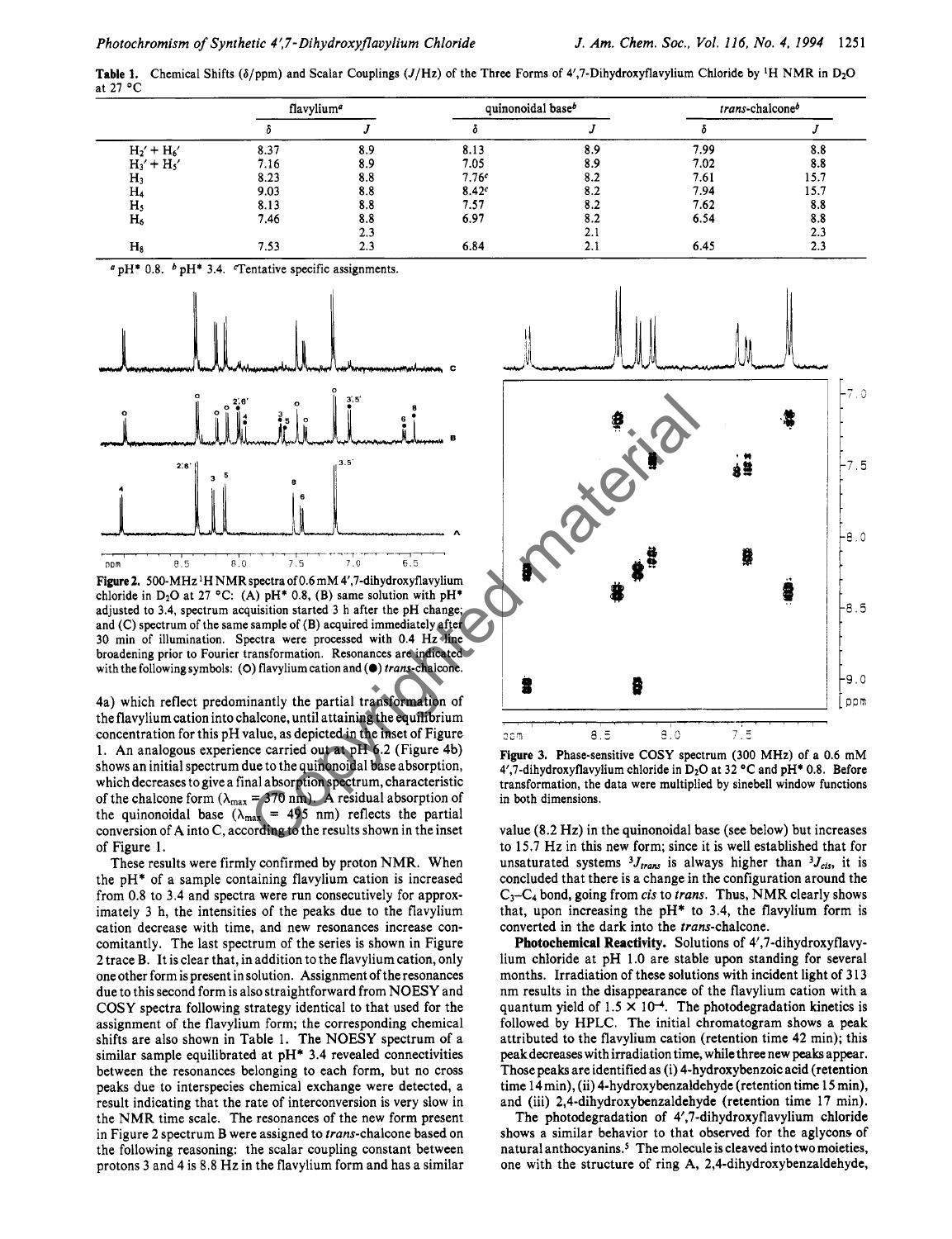**Table 1.** Chemical Shifts ( $\delta$ /ppm) and Scalar Couplings ( $J$ /Hz) of the Three Forms of 4',7-Dihydroxyflavylium Chloride by <sup>1</sup>H NMR in D<sub>2</sub>O at 27 "C

|                | flavylium <sup>a</sup> |     | quinonoidal base <sup>b</sup> |     | trans-chalconeb |      |
|----------------|------------------------|-----|-------------------------------|-----|-----------------|------|
|                |                        |     |                               |     |                 |      |
| $H_2' + H_6'$  | 8.37                   | 8.9 | 8.13                          | 8.9 | 7.99            | 8.8  |
| $H_3' + H_5'$  | 7.16                   | 8.9 | 7.05                          | 8.9 | 7.02            | 8.8  |
| $H_3$          | 8.23                   | 8.8 | 7.76c                         | 8.2 | 7.61            | 15.7 |
| H۵             | 9.03                   | 8.8 | 8.42c                         | 8.2 | 7.94            | 15.7 |
| H <sub>5</sub> | 8.13                   | 8.8 | 7.57                          | 8.2 | 7.62            | 8.8  |
| $H_6$          | 7.46                   | 8.8 | 6.97                          | 8.2 | 6.54            | 8.8  |
|                |                        | 2.3 |                               | 2.1 |                 | 2.3  |
| $H_8$          | 7.53                   | 2.3 | 6.84                          | 2.1 | 6.45            | 2.3  |

 $^{a}$  pH\* 0.8.  $^{b}$  pH\* 3.4. Tentative specific assignments.



**Figure 2.** 500-MHz 'H NMR spectra of 0.6 mM 4',7-dihydroxyflavylium chloride in D<sub>2</sub>O at 27 °C: (A)  $pH^*$  0.8, (B) same solution with  $pH^*$ adjusted to 3.4, spectrum acquisition started 3 h after the pH change; and (C) spectrum of the same sample of (B) acquired immediately after 30 min of illumination. Spectra were processed with 0.4 Hz line broadening prior to Fourier transformation. Resonances are indicated with the following symbols: (0) flavylium cation and *(0)* trans-chalcone.

4a) which reflect predominantly the partial transformation of the flavyliumcation into chalcone, until attaining the equilibrium concentration for this pH value, as depicted in the inset of Figure 1. An analogous experience carried out at pH 6.2 (Figure 4b) shows an initial spectrum due to the quinonoidal base absorption, which decreases to give a final absorption spectrum, characteristic of the chalcone form  $(\lambda_{\text{max}} = 370 \text{ nm})$ . A residual absorption of the quinonoidal base  $(\lambda_{\text{max}} = 495 \text{ nm})$  reflects the partial conversion of A into **C,** according to the results shown in the inset of Figure 1.

These results were firmly confirmed by proton **NMR.** When the pH\* of a sample containing flavylium cation is increased from 0.8 to 3.4 and spectra were run consecutively for approximately 3 h, the intensities of the peaks due to the flavylium cation decrease with time, and new resonances increase concomitantly. The last spectrum of the series is shown in Figure 2 trace **B.** It is clear that, in addition to the flavylium cation, only one other form is present in solution. Assignment of the resonances due to this second form is also straightforward from **NOESY** and **COSY** spectra following strategy identical to that used for the assignment of the flavylium form; the corresponding chemical shifts are also shown in Table 1. The **NOESY** spectrum of a similar sample equilibrated at pH\* 3.4 revealed connectivities between the resonances belonging to each form, but **no** cross peaks due to interspecies chemical exchange were detected, a result indicating that the rate of interconversion is very slow in the **NMR** time scale. The resonances of the new form present in Figure 2 spectrum B were assigned to trans-chalcone based **on**  the following reasoning: the scalar coupling constant between protons 3 and 4 is 8.8 Hz in the flavylium form and has a similar



**Figure 3.** Phase-sensitive COSY spectrum (300 MHz) of a 0.6 mM 4',7-dihydroxyflavylium chloride in D<sub>2</sub>O at 32 °C and pH<sup>\*</sup> 0.8. Before transformation, the data were multiplied by sinebell window functions in both dimensions.

value (8.2 Hz) in the quinonoidal base (see below) but increases to 15.7 Hz in this new form; since it is well established that for unsaturated systems  ${}^{3}J_{trans}$  is always higher than  ${}^{3}J_{cis}$ , it is concluded that there is a change in the configuration around the **C3-C4** bond, going from cis to trans. Thus, **NMR** clearly shows that, upon increasing the  $pH*$  to 3.4, the flavylium form is converted in the dark into the trans-chalcone.

**Photochemical Reactivity.** Solutions of 4',7-dihydroxyflavylium chloride at pH 1.0 are stable **upon** standing for several months. Irradiation of these solutions with incident light of **3** 13 nm results in the disappearance of the flavylium cation with a quantum yield of  $1.5 \times 10^{-4}$ . The photodegradation kinetics is followed by HPLC. The initial chromatogram shows a peak attributed to the flavylium cation (retention time 42 min); this peakdecreases with irradiation time, while three new **peaks** appear. Those peaks are identified as (i) 4-hydroxybenzoic acid (retention time 14 min), (ii) 4-hydroxybenzaldehyde (retention time 15 min), and (iii) **2,4-dihydroxybenzaldehyde** (retention time 17 min).

The photodegradation of 4',7-dihydroxyflavylium chloride shows a similar behavior to that observed for the aglycons of natural anthocyanins.<sup>5</sup> The molecule is cleaved into two moieties, one with the structure of ring A, **2,4-dihydroxybenzaldehyde,**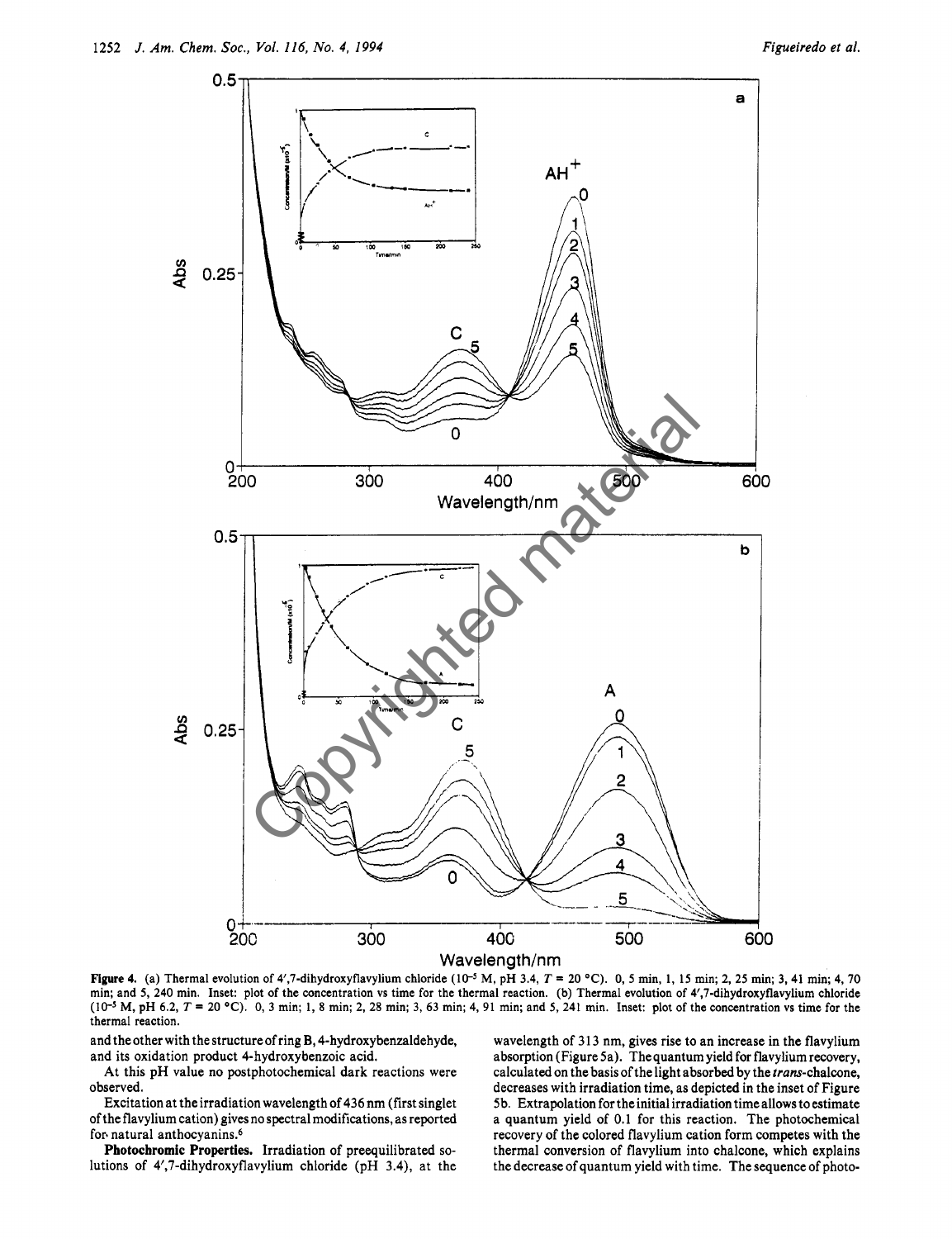

Figure **4.** (a) Thermal evolution of 4',7-dihydroxyflavylium chloride **(le5** M, pH 3.4, T = 20 "C). 0, *5* min, **1, 15** min; 2, **25** min; 3, 41 min; 4,70 min; and *5,* 240 min. Inset: plot of the concentration vs time for the thermal reaction. **(b)** Thermal evolution of 4',7-dihydroxyflavylium chloride (10-5 M, pH 6.2, T = 20 **"C).** 0, 3 min; **1,** 8 min; 2, 28 min; 3, 63 min; 4, 91 min; and *5,* 241 min. Inset: plot of the concentration vs time for the thermal reaction.

and the other with the structure of ring B, 4-hydroxybenzaldehyde, and its oxidation product 4-hydroxybenzoic acid.

At this pH value **no** postphotochemical dark reactions were observed.

Excitation at the irradiation wavelength of 436 nm (first singlet of the flavylium cation) gives **no** spectral modifications, as reported for. natural anthocyanins.6

**Photochromic Properties.** Irradiation of preequilibrated solutions of 4',7-dihydroxyflavylium chloride (pH 3.4), at the wavelength of 313 nm, gives rise to an increase in the flavylium absorption (Figure Sa). The quantum yield **for** flavylium recovery, calculated **on** the basis of the light absorbed by the trans-chalcone, decreases with irradiation time, as depicted in the inset of Figure 5b. Extrapolation for the initial irradiation time allows to estimate a quantum yield of 0.1 for this reaction. The photochemical recovery of the colored flavylium cation form competes with the thermal conversion of flavylium into chalcone, which explains the decrease of quantum yield with time. The sequence of photo-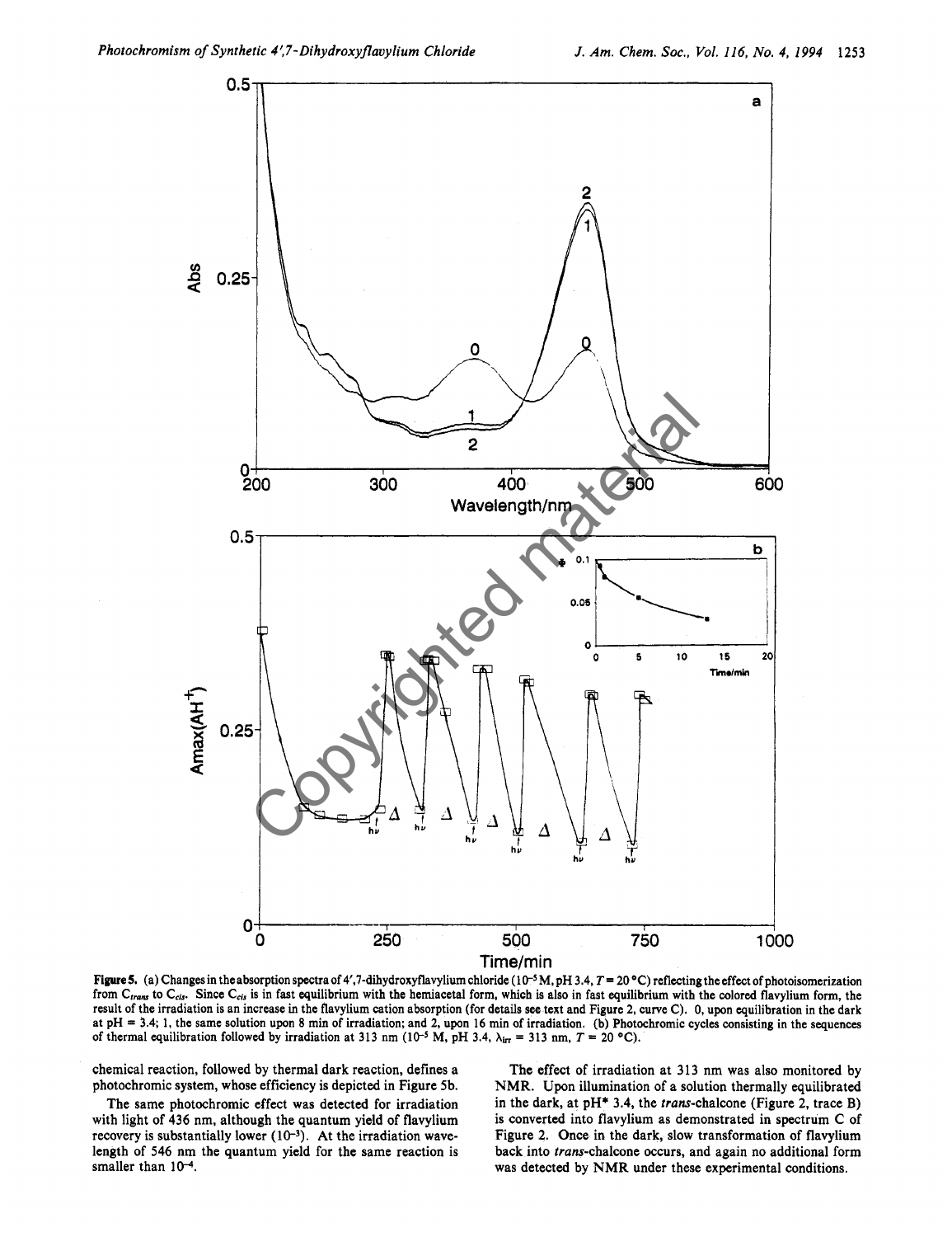

**Figure5.** (a) Changes in theabsorption spectraof **4',7-dihydroxyflavyliumchloride (lo-\$** M, pH **3.4,** *T=* 20 "C) reflecting theeffect of photoisomerization from C<sub>trans</sub> to C<sub>cis</sub>. Since C<sub>cis</sub> is in fast equilibrium with the hemiacetal form, which is also in fast equilibrium with the colored flavylium form, the result of the irradiation is an increase in the flavylium cation absorption (for details **see** text and Figure 2, curve C). 0, upon equilibration in the dark at pH = **3.4; 1,** the same solution upon **8** min of irradiation; and 2, upon **16** min of irradiation. (b) Photochromic cycles consisting in the sequences of thermal equilibration followed by irradiation at 313 nm  $(10^{-5}$  M, pH 3.4,  $\lambda_{irr} = 313$  nm,  $T = 20$  °C).

chemical reaction, followed by thermal dark reaction, defines a photochromic system, whose efficiency is depicted in Figure 5b.

The same photochromic effect was detected for irradiation with light of **436** nm, although the quantum yield of flavylium recovery is substantially lower **(10-3).** At the irradiation wavelength of **546** nm the quantum yield for the same reaction is smaller than  $10^{-4}$ .

The effect of irradiation at **313** nm was also monitored by NMR. Upon illumination of a solution thermally equilibrated in the dark, at pH\* **3.4,** the trans-chalcone (Figure 2, trace B) is converted into flavylium as demonstrated in spectrum C of Figure 2. Once in the dark, slow transformation of flavylium back into trans-chalcone occurs, and again no additional form was detected by NMR under these experimental conditions.